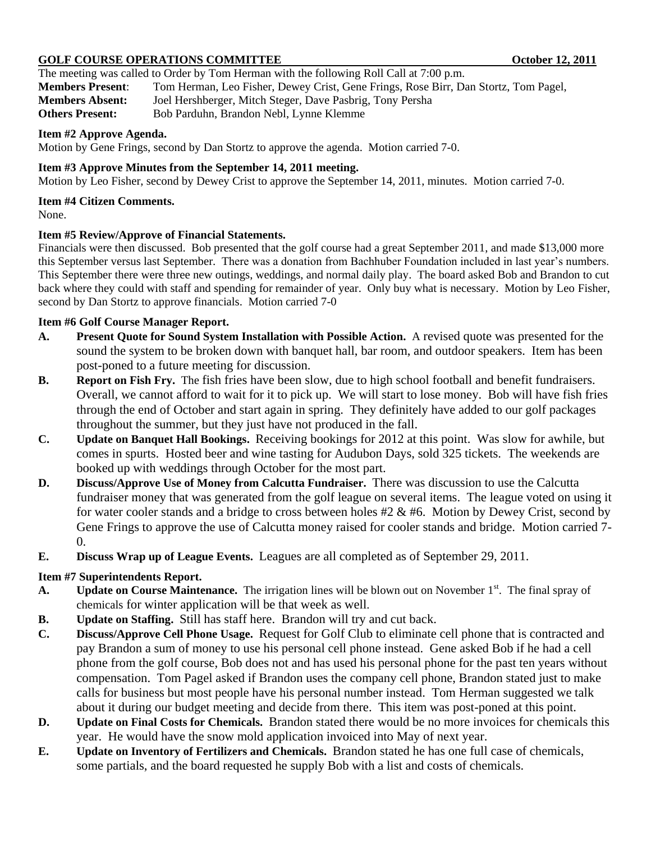### GOLF COURSE OPERATIONS COMMITTEE **COULD 12, 2011** October 12, 2011

The meeting was called to Order by Tom Herman with the following Roll Call at 7:00 p.m. **Members Present**: Tom Herman, Leo Fisher, Dewey Crist, Gene Frings, Rose Birr, Dan Stortz, Tom Pagel, **Members Absent:** Joel Hershberger, Mitch Steger, Dave Pasbrig, Tony Persha

**Others Present:** Bob Parduhn, Brandon Nebl, Lynne Klemme

#### **Item #2 Approve Agenda.**

Motion by Gene Frings, second by Dan Stortz to approve the agenda. Motion carried 7-0.

## **Item #3 Approve Minutes from the September 14, 2011 meeting.**

Motion by Leo Fisher, second by Dewey Crist to approve the September 14, 2011, minutes. Motion carried 7-0.

#### **Item #4 Citizen Comments.**

None.

## **Item #5 Review/Approve of Financial Statements.**

Financials were then discussed. Bob presented that the golf course had a great September 2011, and made \$13,000 more this September versus last September. There was a donation from Bachhuber Foundation included in last year's numbers. This September there were three new outings, weddings, and normal daily play. The board asked Bob and Brandon to cut back where they could with staff and spending for remainder of year. Only buy what is necessary. Motion by Leo Fisher, second by Dan Stortz to approve financials. Motion carried 7-0

## **Item #6 Golf Course Manager Report.**

- **A. Present Quote for Sound System Installation with Possible Action.** A revised quote was presented for the sound the system to be broken down with banquet hall, bar room, and outdoor speakers. Item has been post-poned to a future meeting for discussion.
- **B. Report on Fish Fry.** The fish fries have been slow, due to high school football and benefit fundraisers. Overall, we cannot afford to wait for it to pick up. We will start to lose money. Bob will have fish fries through the end of October and start again in spring. They definitely have added to our golf packages throughout the summer, but they just have not produced in the fall.
- **C. Update on Banquet Hall Bookings.** Receiving bookings for 2012 at this point. Was slow for awhile, but comes in spurts. Hosted beer and wine tasting for Audubon Days, sold 325 tickets. The weekends are booked up with weddings through October for the most part.
- **D. Discuss/Approve Use of Money from Calcutta Fundraiser.** There was discussion to use the Calcutta fundraiser money that was generated from the golf league on several items. The league voted on using it for water cooler stands and a bridge to cross between holes #2 & #6. Motion by Dewey Crist, second by Gene Frings to approve the use of Calcutta money raised for cooler stands and bridge. Motion carried 7- 0.
- **E. Discuss Wrap up of League Events.** Leagues are all completed as of September 29, 2011.

## **Item #7 Superintendents Report.**

- A. **Update on Course Maintenance.** The irrigation lines will be blown out on November 1<sup>st</sup>. The final spray of chemicals for winter application will be that week as well.
- **B. Update on Staffing.** Still has staff here. Brandon will try and cut back.
- **C. Discuss/Approve Cell Phone Usage.** Request for Golf Club to eliminate cell phone that is contracted and pay Brandon a sum of money to use his personal cell phone instead. Gene asked Bob if he had a cell phone from the golf course, Bob does not and has used his personal phone for the past ten years without compensation. Tom Pagel asked if Brandon uses the company cell phone, Brandon stated just to make calls for business but most people have his personal number instead. Tom Herman suggested we talk about it during our budget meeting and decide from there. This item was post-poned at this point.
- **D. Update on Final Costs for Chemicals.** Brandon stated there would be no more invoices for chemicals this year. He would have the snow mold application invoiced into May of next year.
- **E. Update on Inventory of Fertilizers and Chemicals.** Brandon stated he has one full case of chemicals, some partials, and the board requested he supply Bob with a list and costs of chemicals.